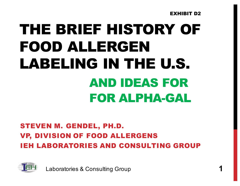EXHIBIT D2

# THE BRIEF HISTORY OF FOOD ALLERGEN LABELING IN THE U.S. AND IDEAS FOR **FOR ALPHA-GAL**

#### STEVEN M. GENDEL, PH.D. VP, DIVISION OF FOOD ALLERGENS IEH LABORATORIES AND CONSULTING GROUP



**Laboratories & Consulting Group**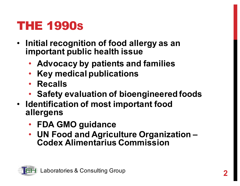#### THE 1990S

- Initial recognition of food allergy as an **important public health issue** 
	- Advocacy by patients and families
	- Key medical publications
	- **Recalls**
	- Safety evaluation of bioengineered foods
- Identification of most important food **allergens**
	- **FDA GMO guidance**
	- **UN(Food(and(Agriculture(Organization(– Codex(Alimentarius Commission**

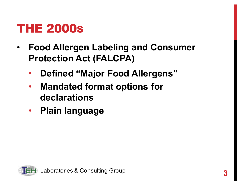#### THE 2000S

- **Food Allergen Labeling and Consumer Protection Act (FALCPA)** 
	- **Defined "Major Food Allergens"**
	- Mandated format options for **declarations**
	- Plain language

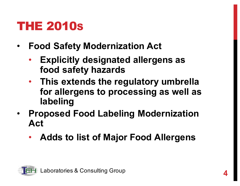#### THE 2010S

- **Food Safety Modernization Act** 
	- **Explicitly designated allergens as** food safety hazards
	- This extends the regulatory umbrella for allergens to processing as well as **labeling**
- **Proposed Food Labeling Modernization Act**
	- Adds to list of Major Food Allergens

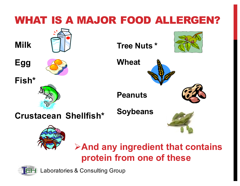

**Example 2 And any ingredient that contains** protein from one of these



**Laboratories & Consulting Group**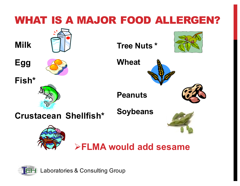

**H** Laboratories & Consulting Group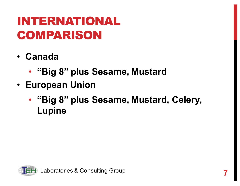### INTERNATIONAL COMPARISON

- **Canada**
	- "Big 8" plus Sesame, Mustard
- **European Union** 
	- "Big 8" plus Sesame, Mustard, Celery, **Lupine**

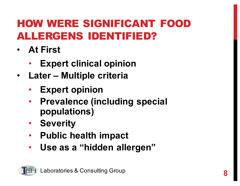#### HOW WERE SIGNIFICANT FOOD ALLERGENS IDENTIFIED?

- **At First** 
	- **Expert clinical opinion**
- Later Multiple criteria
	- **Expert opinion**
	- **Prevalence (including special populations)**
	- **Severity**
	- Public health impact
	- Use as a "hidden allergen"

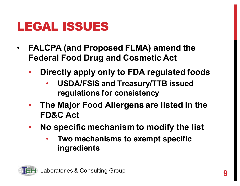#### LEGAL ISSUES

- **FALCPA (and Proposed FLMA) amend the Federal Food Drug and Cosmetic Act** 
	- **Directly apply only to FDA regulated foods** 
		- USDA/FSIS and Treasury/TTB issued **regulations for consistency**
	- The Major Food Allergens are listed in the **FD&C** Act
	- No specific mechanism to modify the list
		- Two mechanisms to exempt specific **ingredients**

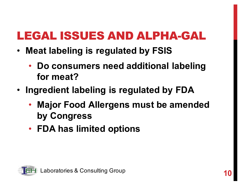#### LEGAL ISSUES AND ALPHA-GAL

- Meat labeling is regulated by FSIS
	- Do consumers need additional labeling for meat?
- Ingredient labeling is regulated by FDA
	- Major Food Allergens must be amended **by(Congress**
	- FDA has limited options

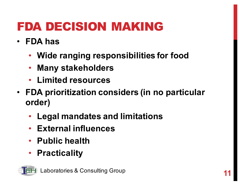## FDA DECISION MAKING

- **FDA** has
	- Wide ranging responsibilities for food
	- Many stakeholders
	- **Limited resources**
- FDA prioritization considers (in no particular **order)**
	- Legal mandates and limitations
	- External influences
	- Public health
	- **Practicality**

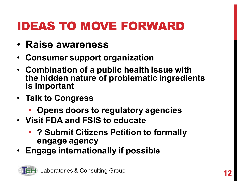## IDEAS TO MOVE FORWARD

- **Raise awareness**
- **Consumer support organization**
- Combination of a public health issue with the hidden nature of problematic ingredients **is important**
- Talk to Congress
	- Opens doors to regulatory agencies
- **Visit FDA and FSIS to educate** 
	- ? Submit Citizens Petition to formally **engage(agency**
- Engage internationally if possible